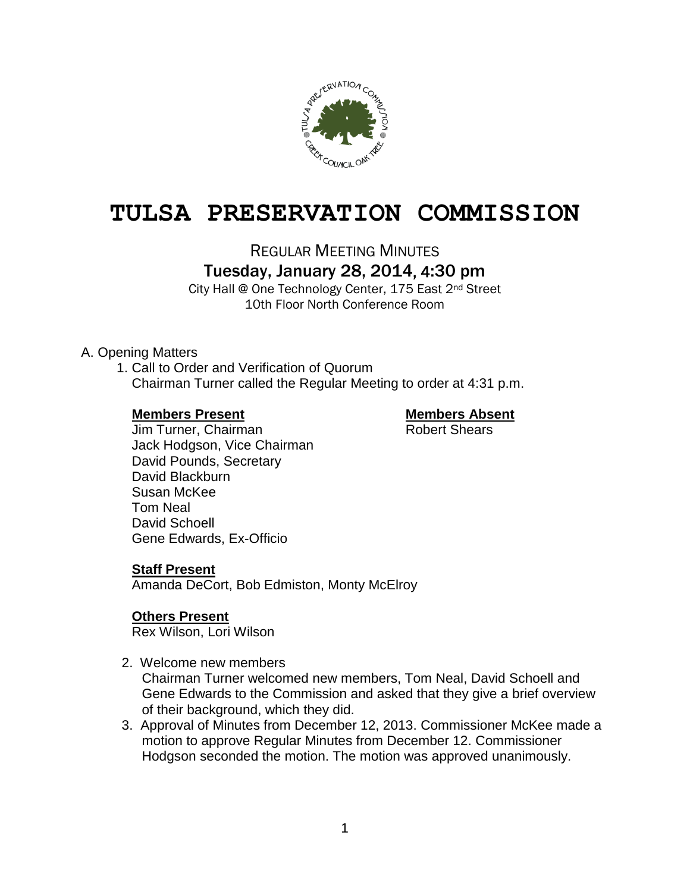

# **TULSA PRESERVATION COMMISSION**

REGULAR MEETING MINUTES

Tuesday, January 28, 2014, 4:30 pm

City Hall @ One Technology Center, 175 East 2nd Street 10th Floor North Conference Room

# A. Opening Matters

1. Call to Order and Verification of Quorum Chairman Turner called the Regular Meeting to order at 4:31 p.m.

#### **Members Present Members Absent**

Jim Turner, Chairman **Robert Shears** Jack Hodgson, Vice Chairman David Pounds, Secretary David Blackburn Susan McKee Tom Neal David Schoell Gene Edwards, Ex-Officio

# **Staff Present**

Amanda DeCort, Bob Edmiston, Monty McElroy

# **Others Present**

Rex Wilson, Lori Wilson

- 2. Welcome new members Chairman Turner welcomed new members, Tom Neal, David Schoell and Gene Edwards to the Commission and asked that they give a brief overview of their background, which they did.
- 3. Approval of Minutes from December 12, 2013. Commissioner McKee made a motion to approve Regular Minutes from December 12. Commissioner Hodgson seconded the motion. The motion was approved unanimously.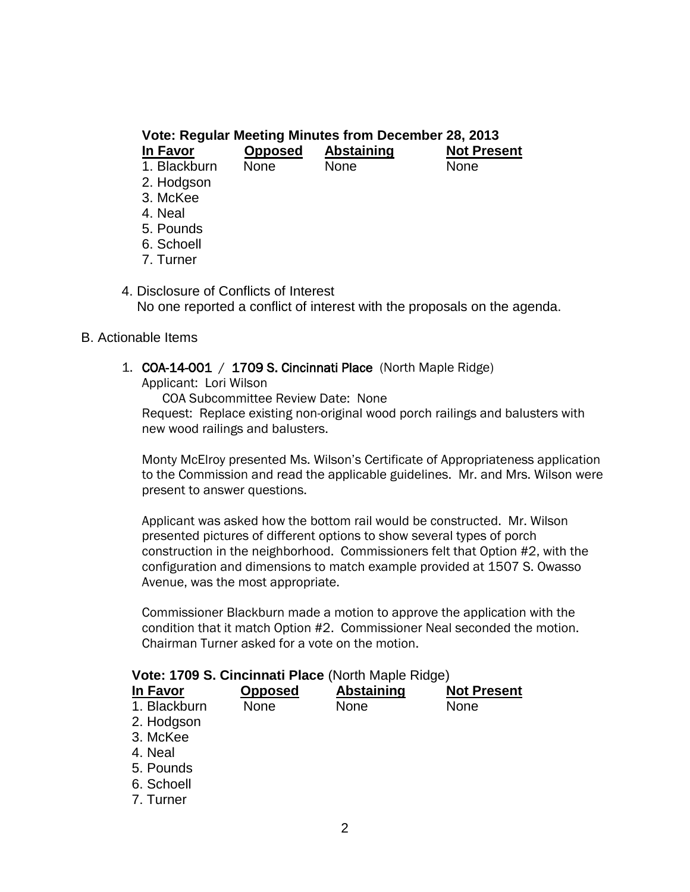| Vote: Regular Meeting Minutes from December 28, 2013 |                |                   |                    |  |  |  |
|------------------------------------------------------|----------------|-------------------|--------------------|--|--|--|
| In Favor                                             | <b>Opposed</b> | <b>Abstaining</b> | <b>Not Present</b> |  |  |  |
| 1. Blackburn                                         | None           | <b>None</b>       | <b>None</b>        |  |  |  |
| 2. Hodgson                                           |                |                   |                    |  |  |  |
| 3. McKee                                             |                |                   |                    |  |  |  |
| 4. Neal                                              |                |                   |                    |  |  |  |
| 5. Pounds                                            |                |                   |                    |  |  |  |
| 6. Schoell                                           |                |                   |                    |  |  |  |
| 7. Turner                                            |                |                   |                    |  |  |  |

4. Disclosure of Conflicts of Interest No one reported a conflict of interest with the proposals on the agenda.

#### B. Actionable Items

1. COA-14-001 / 1709 S. Cincinnati Place (North Maple Ridge)

Applicant: Lori Wilson

COA Subcommittee Review Date: None Request: Replace existing non-original wood porch railings and balusters with new wood railings and balusters.

Monty McElroy presented Ms. Wilson's Certificate of Appropriateness application to the Commission and read the applicable guidelines. Mr. and Mrs. Wilson were present to answer questions.

Applicant was asked how the bottom rail would be constructed. Mr. Wilson presented pictures of different options to show several types of porch construction in the neighborhood. Commissioners felt that Option #2, with the configuration and dimensions to match example provided at 1507 S. Owasso Avenue, was the most appropriate.

Commissioner Blackburn made a motion to approve the application with the condition that it match Option #2. Commissioner Neal seconded the motion. Chairman Turner asked for a vote on the motion.

| Vote: 1709 S. Cincinnati Place (North Maple Ridge) |  |
|----------------------------------------------------|--|
|----------------------------------------------------|--|

| $1000 \cdot 1100 \cdot 0.$ Chromman Frace (From maple Higgs) |                |                   |                    |  |  |  |
|--------------------------------------------------------------|----------------|-------------------|--------------------|--|--|--|
| In Favor                                                     | <b>Opposed</b> | <b>Abstaining</b> | <b>Not Present</b> |  |  |  |
| 1. Blackburn                                                 | <b>None</b>    | <b>None</b>       | <b>None</b>        |  |  |  |
| 2. Hodgson                                                   |                |                   |                    |  |  |  |
| 3. McKee                                                     |                |                   |                    |  |  |  |
| 4. Neal                                                      |                |                   |                    |  |  |  |
| 5. Pounds                                                    |                |                   |                    |  |  |  |
| 6. Schoell                                                   |                |                   |                    |  |  |  |
| 7. Turner                                                    |                |                   |                    |  |  |  |
|                                                              |                |                   |                    |  |  |  |
|                                                              |                |                   |                    |  |  |  |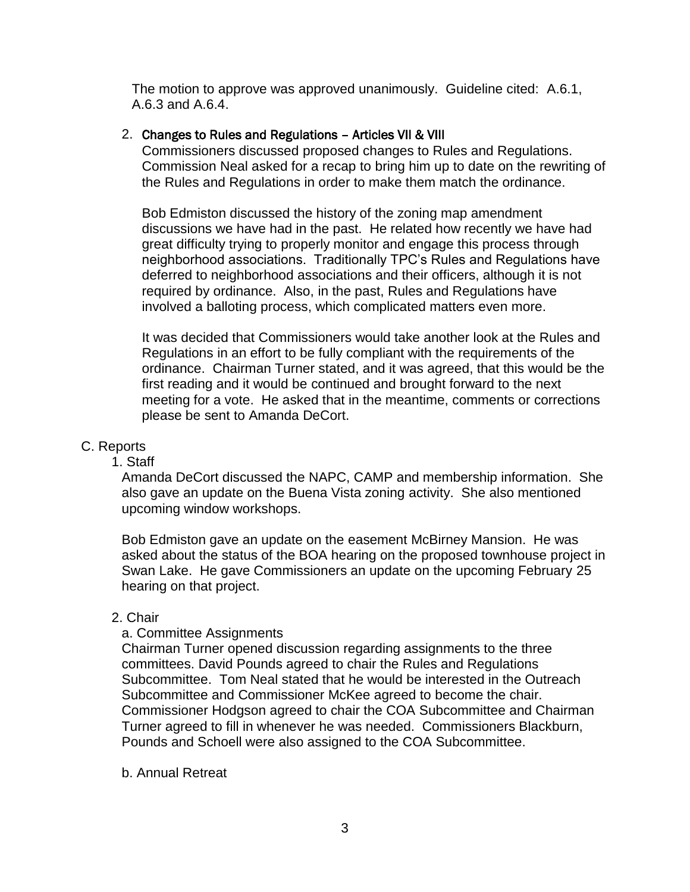The motion to approve was approved unanimously. Guideline cited: A.6.1, A.6.3 and A.6.4.

## 2. Changes to Rules and Regulations – Articles VII & VIII

Commissioners discussed proposed changes to Rules and Regulations. Commission Neal asked for a recap to bring him up to date on the rewriting of the Rules and Regulations in order to make them match the ordinance.

Bob Edmiston discussed the history of the zoning map amendment discussions we have had in the past. He related how recently we have had great difficulty trying to properly monitor and engage this process through neighborhood associations. Traditionally TPC's Rules and Regulations have deferred to neighborhood associations and their officers, although it is not required by ordinance. Also, in the past, Rules and Regulations have involved a balloting process, which complicated matters even more.

It was decided that Commissioners would take another look at the Rules and Regulations in an effort to be fully compliant with the requirements of the ordinance. Chairman Turner stated, and it was agreed, that this would be the first reading and it would be continued and brought forward to the next meeting for a vote. He asked that in the meantime, comments or corrections please be sent to Amanda DeCort.

## C. Reports

#### 1. Staff

Amanda DeCort discussed the NAPC, CAMP and membership information. She also gave an update on the Buena Vista zoning activity. She also mentioned upcoming window workshops.

Bob Edmiston gave an update on the easement McBirney Mansion. He was asked about the status of the BOA hearing on the proposed townhouse project in Swan Lake. He gave Commissioners an update on the upcoming February 25 hearing on that project.

#### 2. Chair

#### a. Committee Assignments

Chairman Turner opened discussion regarding assignments to the three committees. David Pounds agreed to chair the Rules and Regulations Subcommittee. Tom Neal stated that he would be interested in the Outreach Subcommittee and Commissioner McKee agreed to become the chair. Commissioner Hodgson agreed to chair the COA Subcommittee and Chairman Turner agreed to fill in whenever he was needed. Commissioners Blackburn, Pounds and Schoell were also assigned to the COA Subcommittee.

#### b. Annual Retreat